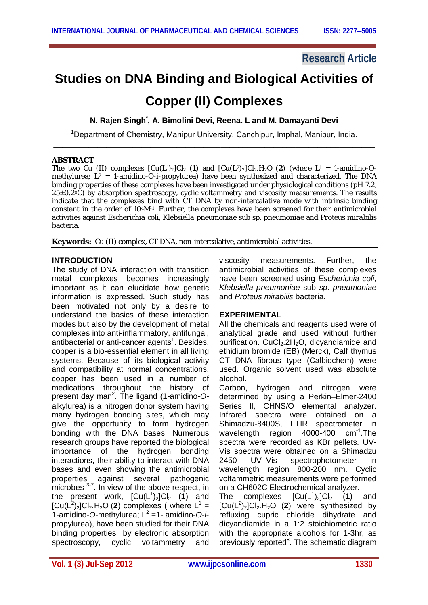### **Research Article**

# **Studies on DNA Binding and Biological Activities of**

## **Copper (II) Complexes**

**N. Rajen Singh\* , A. Bimolini Devi, Reena. L and M. Damayanti Devi**

<sup>1</sup>Department of Chemistry, Manipur University, Canchipur, Imphal, Manipur, India. \_\_\_\_\_\_\_\_\_\_\_\_\_\_\_\_\_\_\_\_\_\_\_\_\_\_\_\_\_\_\_\_\_\_\_\_\_\_\_\_\_\_\_\_\_\_\_\_\_\_\_\_\_\_\_\_\_\_\_\_\_\_\_\_\_\_\_\_\_\_\_\_\_

#### **ABSTRACT**

The two Cu (II) complexes  $\lceil Cu(L^1)_2 \rceil Cl_2$  (1) and  $\lceil Cu(L^2)_2 \rceil Cl_2.H_2O$  (2) (where  $L^1 = 1$ -amidino-*O*methylurea; L<sup>2</sup> = 1-amidino-*O*-*i*-propylurea) have been synthesized and characterized. The DNA binding properties of these complexes have been investigated under physiological conditions (pH 7.2, 25±0.2<sup>o</sup>C) by absorption spectroscopy, cyclic voltammetry and viscosity measurements. The results indicate that the complexes bind with CT DNA by non-intercalative mode with intrinsic binding constant in the order of 10<sup>4</sup>M<sup>-1</sup>. Further, the complexes have been screened for their antimicrobial activities against *Escherichia coli*, *Klebsiella pneumoniae* sub *sp. pneumoniae* and *Proteus mirabilis* bacteria.

**Keywords:** Cu (II) complex, CT DNA, non-intercalative, antimicrobial activities.

#### **INTRODUCTION**

The study of DNA interaction with transition metal complexes becomes increasingly important as it can elucidate how genetic information is expressed. Such study has been motivated not only by a desire to understand the basics of these interaction modes but also by the development of metal complexes into anti-inflammatory, antifungal, antibacterial or anti-cancer agents<sup>1</sup>. Besides, copper is a bio-essential element in all living systems. Because of its biological activity and compatibility at normal concentrations, copper has been used in a number of medications throughout the history of present day man<sup>2</sup> . The ligand (1-amidino-*O*alkylurea) is a nitrogen donor system having many hydrogen bonding sites, which may give the opportunity to form hydrogen bonding with the DNA bases. Numerous research groups have reported the biological importance of the hydrogen bonding interactions, their ability to interact with DNA bases and even showing the antimicrobial properties against several pathogenic microbes  $3-7$ . In view of the above respect, in the present work,  $[Cu(L<sup>1</sup>)<sub>2</sub>]Cl<sub>2</sub>$  (1) and  $[Cu(L<sup>2</sup>)<sub>2</sub>]Cl<sub>2</sub> H<sub>2</sub>O (2) complexes (where L<sup>1</sup> =$ 1-amidino-O-methylurea; L<sup>2</sup> =1- amidino-O-*i*propylurea), have been studied for their DNA binding properties by electronic absorption spectroscopy, cyclic voltammetry and

viscosity measurements. Further, the antimicrobial activities of these complexes have been screened using *Escherichia coli*, *Klebsiella pneumoniae* sub *sp. pneumoniae* and *Proteus mirabilis* bacteria.

#### **EXPERIMENTAL**

All the chemicals and reagents used were of analytical grade and used without further purification. CuCl<sub>2</sub>.2H<sub>2</sub>O, dicvandiamide and ethidium bromide (EB) (Merck), Calf thymus CT DNA fibrous type (Calbiochem) were used. Organic solvent used was absolute alcohol.

Carbon, hydrogen and nitrogen were determined by using a Perkin–Elmer-2400 Series ll, CHNS/O elemental analyzer. Infrared spectra were obtained on a Shimadzu-8400S, FTIR spectrometer in wavelength region 4000-400  $cm^{-1}$ . The spectra were recorded as KBr pellets. UV-Vis spectra were obtained on a Shimadzu 2450 UV–Vis spectrophotometer in wavelength region 800-200 nm. Cyclic voltammetric measurements were performed on a CH602C Electrochemical analyzer.

The complexes  $[Cu(L^1)_2]Cl_2$  (1) and  $[Cu(L<sup>2</sup>)<sub>2</sub>]Cl<sub>2</sub> H<sub>2</sub>O (2)$  were synthesized by refluxing cupric chloride dihydrate and dicyandiamide in a 1:2 stoichiometric ratio with the appropriate alcohols for 1-3hr, as previously reported<sup>8</sup>. The schematic diagram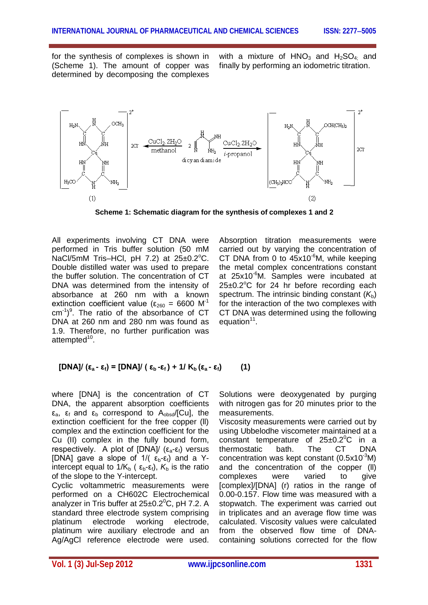for the synthesis of complexes is shown in (Scheme 1). The amount of copper was determined by decomposing the complexes

with a mixture of  $HNO<sub>3</sub>$  and  $H<sub>2</sub>SO<sub>4</sub>$  and finally by performing an iodometric titration.



**Scheme 1: Schematic diagram for the synthesis of complexes 1 and 2**

All experiments involving CT DNA were performed in Tris buffer solution (50 mM NaCl/5mM Tris–HCl, pH  $7.2$ ) at  $25\pm0.2^{\circ}$ C. Double distilled water was used to prepare the buffer solution. The concentration of CT DNA was determined from the intensity of absorbance at 260 nm with a known extinction coefficient value ( $\epsilon_{260}$  = 6600 M<sup>-1</sup>  $cm^{-1}$ <sup>9</sup>. The ratio of the absorbance of CT DNA at 260 nm and 280 nm was found as 1.9. Therefore, no further purification was attempted<sup>10</sup>.

Absorption titration measurements were carried out by varying the concentration of CT DNA from 0 to  $45x10^{-6}$ M, while keeping the metal complex concentrations constant at 25x10<sup>-6</sup>M. Samples were incubated at  $25\pm0.2^{\circ}$ C for 24 hr before recording each spectrum. The intrinsic binding constant  $(K_b)$ for the interaction of the two complexes with CT DNA was determined using the following equation<sup>11</sup>.

$$
[DNA]/(\epsilon_a - \epsilon_f) = [DNA]/(\epsilon_b - \epsilon_f) + 1/K_b(\epsilon_a - \epsilon_f)
$$
 (1)

where [DNA] is the concentration of CT DNA, the apparent absorption coefficients  $\varepsilon_{a}$ ,  $\varepsilon_{f}$  and  $\varepsilon_{b}$  correspond to  $A_{obsd}/[Cu]$ , the extinction coefficient for the free copper (ll) complex and the extinction coefficient for the Cu (II) complex in the fully bound form, respectively. A plot of  $[DNA]/(\epsilon_{a}-\epsilon_{f})$  versus [DNA] gave a slope of  $1/(\varepsilon_b-\varepsilon_f)$  and a Yintercept equal to  $1/K_b$  ( $\varepsilon_b-\varepsilon_f$ ),  $K_b$  is the ratio of the slope to the Y-intercept.

Cyclic voltammetric measurements were performed on a CH602C Electrochemical analyzer in Tris buffer at  $25\pm0.2^{\circ}$ C, pH 7.2. A standard three electrode system comprising platinum electrode working electrode, platinum wire auxiliary electrode and an Ag/AgCl reference electrode were used.

Solutions were deoxygenated by purging with nitrogen gas for 20 minutes prior to the measurements.

Viscosity measurements were carried out by using Ubbelodhe viscometer maintained at a constant temperature of  $25\pm0.2^{\circ}$ C in a thermostatic bath. The CT DNA concentration was kept constant (0.5x10<sup>-3</sup>M) and the concentration of the copper (ll) complexes were varied to give [complex]/[DNA] (r) ratios in the range of 0.00-0.157. Flow time was measured with a stopwatch. The experiment was carried out in triplicates and an average flow time was calculated. Viscosity values were calculated from the observed flow time of DNAcontaining solutions corrected for the flow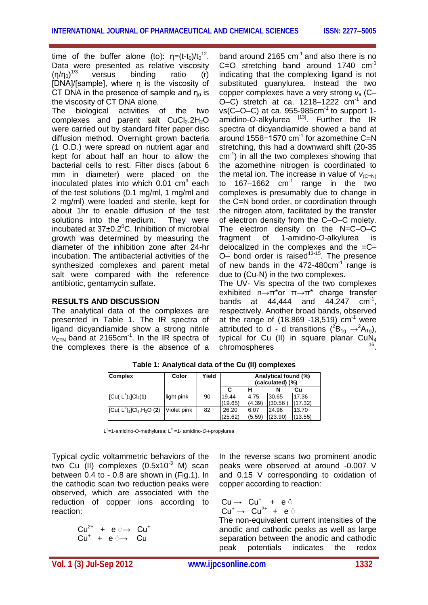time of the buffer alone (to):  $\eta = (t-t_0)/t_0^{-12}$ . Data were presented as relative viscosity  $(η/η<sub>0</sub>)<sup>1/3</sup>$ versus binding ratio (r) [DNA]/[sample], where η is the viscosity of CT DNA in the presence of sample and  $n_0$  is the viscosity of CT DNA alone.

The biological activities of the two complexes and parent salt  $CuCl<sub>2</sub>.2H<sub>2</sub>O$ were carried out by standard filter paper disc diffusion method. Overnight grown bacteria (1 O.D.) were spread on nutrient agar and kept for about half an hour to allow the bacterial cells to rest. Filter discs (about 6 mm in diameter) were placed on the inoculated plates into which 0.01 cm<sup>3</sup> each of the test solutions (0.1 mg/ml, 1 mg/ml and 2 mg/ml) were loaded and sterile, kept for about 1hr to enable diffusion of the test solutions into the medium. They were incubated at  $37\pm0.2^{\circ}$ C. Inhibition of microbial growth was determined by measuring the diameter of the inhibition zone after 24-hr incubation. The antibacterial activities of the synthesized complexes and parent metal salt were compared with the reference antibiotic, gentamycin sulfate.

#### **RESULTS AND DISCUSSION**

The analytical data of the complexes are presented in Table 1. The IR spectra of ligand dicyandiamide show a strong nitrile *v*<sub>C≡N</sub> band at 2165cm<sup>-1</sup>. In the IR spectra of the complexes there is the absence of a band around 2165  $cm<sup>-1</sup>$  and also there is no C=O stretching band around 1740  $cm^{-1}$ indicating that the complexing ligand is not substituted guanylurea. Instead the two copper complexes have a very strong *v*<sup>a</sup> (C– O–C) stretch at ca.  $1218-1222$  cm<sup>-1</sup> and  $vs(C-O-C)$  at ca. 955-985 $cm^{-1}$  to support 1amidino-O-alkylurea <sup>[13]</sup>. Further the IR spectra of dicyandiamide showed a band at around 1558-1570 cm<sup>-1</sup> for azomethine C=N stretching, this had a downward shift (20-35 cm-1 ) in all the two complexes showing that the azomethine nitrogen is coordinated to the metal ion. The increase in value of  $V_{(C=N)}$ to 167–1662  $cm^{-1}$  range in the two complexes is presumably due to change in the C=N bond order, or coordination through the nitrogen atom, facilitated by the transfer of electron density from the C–O–C moiety. The electron density on the N=C–O–C fragment of 1-amidino-*O*-alkylurea is delocalized in the complexes and the  $=C O-$  bond order is raised<sup>13-15</sup>. The presence of new bands in the  $472-480$ cm<sup>-1</sup> range is due to (Cu-N) in the two complexes.

The UV- Vis spectra of the two complexes exhibited  $n \rightarrow \pi^*$  or  $\pi \rightarrow \pi^*$  charge transfer bands at  $44,444$  and  $44,247$  cm<sup>-1</sup>, respectively. Another broad bands, observed at the range of  $(18,869 - 18,519)$  cm<sup>-1</sup> were attributed to d - d transitions  $(^{2}B_{1q} \rightarrow ^{2}A_{1q})$ , typical for Cu (II) in square planar  $CuN<sub>4</sub>$ chromospheres .

| <b>Complex</b>                    | Color       | Yield | Analytical found (%)<br>(calculated) (%) |        |         |         |  |
|-----------------------------------|-------------|-------|------------------------------------------|--------|---------|---------|--|
|                                   |             |       |                                          |        |         | Cu      |  |
| $ Cu(L^1)_2 Cl_2(1) $             | light pink  | 90    | 19.44                                    | 4.75   | 30.65   | 17.36   |  |
|                                   |             |       | (19.65)                                  | (4.39) | (30.56) | (17.32) |  |
| $\sqrt{[Cu( L^2)_2]CI_2.H_2O(2)}$ | Violet pink | 82    | 26.20                                    | 6.07   | 24.96   | 13.70   |  |
|                                   |             |       | (25.62)                                  | (5.59) | (23.90) | (13.55) |  |

**Table 1: Analytical data of the Cu (ll) complexes**

L<sup>1</sup>=1-amidino-*O*-methylurea; L<sup>2</sup> =1- amidino-*O-i*-propylurea

Typical cyclic voltammetric behaviors of the two Cu (II) complexes  $(0.5x10^{-3}$  M) scan between 0.4 to - 0.8 are shown in (Fig.1). In the cathodic scan two reduction peaks were observed, which are associated with the reduction of copper ions according to reaction:

|  | $Cu^{2+}$ + e $\circ \rightarrow$ Cu <sup>+</sup> |  |
|--|---------------------------------------------------|--|
|  | $Cu^+ + e \rightarrow Cu$                         |  |

In the reverse scans two prominent anodic peaks were observed at around -0.007 V and 0.15 V corresponding to oxidation of copper according to reaction:

$$
\begin{array}{ccc} Cu \rightarrow & Cu^+ & + & e^{\bar{\odot}} \\ Cu^+ \rightarrow & Cu^{2+} & + & e^{\bar{\odot}} \end{array}
$$

The non-equivalent current intensities of the anodic and cathodic peaks as well as large separation between the anodic and cathodic peak potentials indicates the redox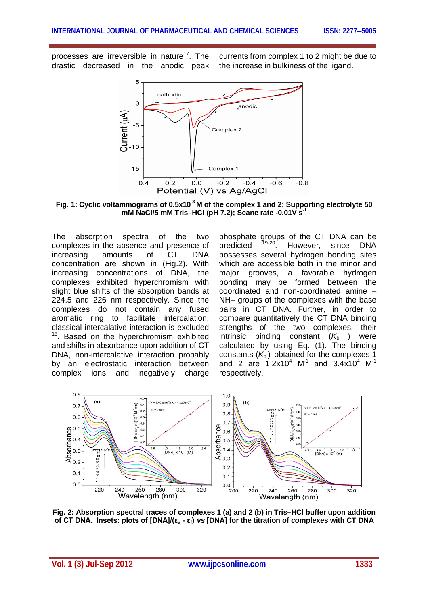processes are irreversible in nature<sup>17</sup>. The drastic decreased in the anodic peak

currents from complex 1 to 2 might be due to the increase in bulkiness of the ligand.



**Fig. 1: Cyclic voltammograms of 0.5x10-3 M of the complex 1 and 2; Supporting electrolyte 50 mM NaCl/5 mM Tris–HCl (pH 7.2); Scane rate -0.01V s-1**

The absorption spectra of the two complexes in the absence and presence of increasing amounts of CT DNA concentration are shown in (Fig.2). With increasing concentrations of DNA, the complexes exhibited hyperchromism with slight blue shifts of the absorption bands at 224.5 and 226 nm respectively. Since the complexes do not contain any fused aromatic ring to facilitate intercalation, classical intercalative interaction is excluded <sup>18</sup>. Based on the hyperchromism exhibited and shifts in absorbance upon addition of CT DNA, non-intercalative interaction probably by an electrostatic interaction between complex ions and negatively charge

phosphate groups of the CT DNA can be<br>predicted <sup>19-20</sup>. However. since DNA predicted <sup>19-20</sup>. However, since DNA possesses several hydrogen bonding sites which are accessible both in the minor and major grooves, a favorable hydrogen bonding may be formed between the coordinated and non-coordinated amine – NH– groups of the complexes with the base pairs in CT DNA. Further, in order to compare quantitatively the CT DNA binding strengths of the two complexes, their intrinsic binding constant  $(K_b)$  were calculated by using Eq. (1). The binding constants  $(K_b)$  obtained for the complexes 1 and 2 are 1.2x10<sup>4</sup> M<sup>-1</sup> and 3.4x10<sup>4</sup> M<sup>-1</sup> respectively.



**Fig. 2: Absorption spectral traces of complexes 1 (a) and 2 (b) in Tris–HCl buffer upon addition of CT DNA. Insets: plots of [DNA]/(ε<sup>a</sup> - εf)** *vs* **[DNA] for the titration of complexes with CT DNA**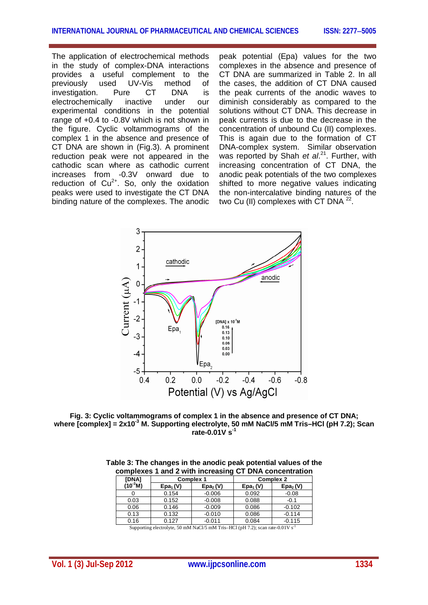The application of electrochemical methods in the study of complex-DNA interactions provides a useful complement to the previously used UV-Vis method of investigation. Pure CT DNA is electrochemically inactive under our experimental conditions in the potential range of +0.4 to -0.8V which is not shown in the figure. Cyclic voltammograms of the complex 1 in the absence and presence of CT DNA are shown in (Fig.3). A prominent reduction peak were not appeared in the cathodic scan where as cathodic current increases from -0.3V onward due to reduction of  $Cu^{2+}$ . So, only the oxidation peaks were used to investigate the CT DNA binding nature of the complexes. The anodic

peak potential (Epa) values for the two complexes in the absence and presence of CT DNA are summarized in Table 2. In all the cases, the addition of CT DNA caused the peak currents of the anodic waves to diminish considerably as compared to the solutions without CT DNA. This decrease in peak currents is due to the decrease in the concentration of unbound Cu (II) complexes. This is again due to the formation of CT DNA-complex system. Similar observation was reported by Shah *et al.*<sup>21</sup>. Further, with increasing concentration of CT DNA, the anodic peak potentials of the two complexes shifted to more negative values indicating the non-intercalative binding natures of the two Cu (II) complexes with CT DNA  $^{22}$ .



**Fig. 3: Cyclic voltammograms of complex 1 in the absence and presence of CT DNA; where [complex] = 2x10-3 M. Supporting electrolyte, 50 mM NaCl/5 mM Tris–HCl (pH 7.2); Scan rate-0.01V s-1**

|              |            | oompickes Tand Z with mercasing OT DIM concentration |                  |                      |  |  |
|--------------|------------|------------------------------------------------------|------------------|----------------------|--|--|
| <b>[DNA]</b> |            | <b>Complex 1</b>                                     | <b>Complex 2</b> |                      |  |  |
| $(10^{3}M)$  | $Epa_1(V)$ | Epa <sub>2</sub> (V)                                 | $Epa_1(V)$       | Epa <sub>2</sub> (V) |  |  |
|              | 0.154      | $-0.006$                                             | 0.092            | $-0.08$              |  |  |
| 0.03         | 0.152      | $-0.008$                                             | 0.088            | $-0.1$               |  |  |
| 0.06         | 0.146      | $-0.009$                                             | 0.086            | $-0.102$             |  |  |
| 0.13         | 0.132      | $-0.010$                                             | 0.086            | $-0.114$             |  |  |
| 0.16         | 0.127      | $-0.011$                                             | 0.084            | $-0.115$             |  |  |

**Table 3: The changes in the anodic peak potential values of the complexes 1 and 2 with increasing CT DNA concentration**

Supporting electrolyte, 50 mM NaCl/5 mM Tris–HCl (pH 7.2); scan rate-0.01V s<sup>-1</sup>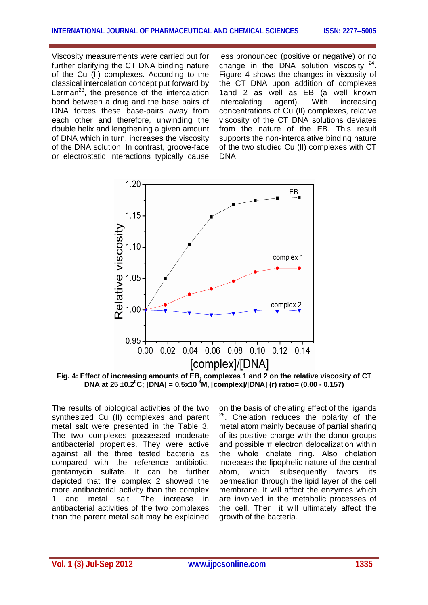Viscosity measurements were carried out for further clarifying the CT DNA binding nature of the Cu (II) complexes. According to the classical intercalation concept put forward by Lerman<sup>23</sup>, the presence of the intercalation bond between a drug and the base pairs of DNA forces these base-pairs away from each other and therefore, unwinding the double helix and lengthening a given amount of DNA which in turn, increases the viscosity of the DNA solution. In contrast, groove-face or electrostatic interactions typically cause

less pronounced (positive or negative) or no change in the DNA solution viscosity  $24$ . Figure 4 shows the changes in viscosity of the CT DNA upon addition of complexes 1and 2 as well as EB (a well known intercalating agent). With increasing concentrations of Cu (II) complexes, relative viscosity of the CT DNA solutions deviates from the nature of the EB. This result supports the non-intercalative binding nature of the two studied Cu (II) complexes with CT DNA.



**Fig. 4: Effect of increasing amounts of EB, complexes 1 and 2 on the relative viscosity of CT DNA at 25 ±0.2<sup>0</sup>C; [DNA] = 0.5x10-3M, [complex]/[DNA] (r) ratio= (0.00 - 0.157)**

The results of biological activities of the two synthesized Cu (II) complexes and parent metal salt were presented in the Table 3. The two complexes possessed moderate antibacterial properties. They were active against all the three tested bacteria as compared with the reference antibiotic, gentamycin sulfate. It can be further depicted that the complex 2 showed the more antibacterial activity than the complex 1 and metal salt. The increase in antibacterial activities of the two complexes than the parent metal salt may be explained

on the basis of chelating effect of the ligands  $25$ . Chelation reduces the polarity of the metal atom mainly because of partial sharing of its positive charge with the donor groups and possible π electron delocalization within the whole chelate ring. Also chelation increases the lipophelic nature of the central atom, which subsequently favors its permeation through the lipid layer of the cell membrane. It will affect the enzymes which are involved in the metabolic processes of the cell. Then, it will ultimately affect the growth of the bacteria.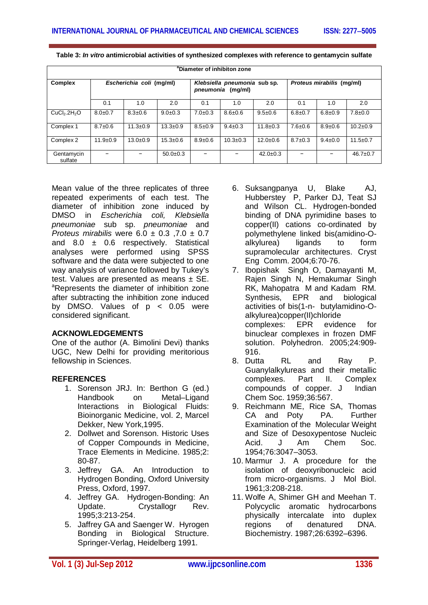| <sup>a</sup> Diameter of inhibiton zone |                          |                |                                                   |               |                |                           |               |               |                |
|-----------------------------------------|--------------------------|----------------|---------------------------------------------------|---------------|----------------|---------------------------|---------------|---------------|----------------|
| Complex                                 | Escherichia coli (mg/ml) |                | Klebsiella pneumonia sub sp.<br>pneumonia (mg/ml) |               |                | Proteus mirabilis (mg/ml) |               |               |                |
|                                         | 0.1                      | 1.0            | 2.0                                               | 0.1           | 1.0            | 2.0                       | 0.1           | 1.0           | 2.0            |
| CuCl <sub>2</sub> .2H <sub>2</sub> O    | $8.0 \pm 0.7$            | $8.3 \pm 0.6$  | $9.0+0.3$                                         | $7.0 \pm 0.3$ | $8.6 \pm 0.6$  | $9.5 \pm 0.6$             | $6.8 \pm 0.7$ | $6.8 \pm 0.9$ | $7.8 \pm 0.0$  |
| Complex 1                               | $8.7 \pm 0.6$            | $11.3 \pm 0.9$ | $13.3 \pm 0.9$                                    | $8.5 \pm 0.9$ | $9.4 \pm 0.3$  | $11.8 \pm 0.3$            | $7.6 \pm 0.6$ | $8.9 \pm 0.6$ | $10.2 \pm 0.9$ |
| Complex 2                               | $11.9 \pm 0.9$           | $13.0 \pm 0.9$ | $15.3 \pm 0.6$                                    | $8.9 \pm 0.6$ | $10.3 \pm 0.3$ | $12.0 \pm 0.6$            | $8.7 \pm 0.3$ | $9.4 \pm 0.0$ | $11.5 \pm 0.7$ |
| Gentamycin<br>sulfate                   |                          |                | $50.0 \pm 0.3$                                    |               |                | $42.0 \pm 0.3$            |               | -             | $46.7 \pm 0.7$ |

**Table 3:** *In vitro* **antimicrobial activities of synthesized complexes with reference to gentamycin sulfate**

Mean value of the three replicates of three repeated experiments of each test. The diameter of inhibition zone induced by DMSO in *Escherichia coli, Klebsiella pneumoniae* sub sp. *pneumoniae* and *Proteus mirabilis* were 6.0 ± 0.3 ,7.0 ± 0.7 and  $8.0 \pm 0.6$  respectively. Statistical analyses were performed using SPSS software and the data were subjected to one way analysis of variance followed by Tukey's test. Values are presented as means  $\pm$  SE. <sup>a</sup>Represents the diameter of inhibition zone after subtracting the inhibition zone induced by DMSO. Values of  $p < 0.05$  were considered significant.

#### **ACKNOWLEDGEMENTS**

One of the author (A. Bimolini Devi) thanks UGC, New Delhi for providing meritorious fellowship in Sciences.

#### **REFERENCES**

- 1. Sorenson JRJ. In: Berthon G (ed.) Handbook on Metal–Ligand Interactions in Biological Fluids: Bioinorganic Medicine, vol. 2, Marcel Dekker, New York,1995.
- 2. Dollwet and Sorenson. Historic Uses of Copper Compounds in Medicine, Trace Elements in Medicine. 1985;2: 80-87.
- 3. Jeffrey GA. An Introduction to Hydrogen Bonding, Oxford University Press, Oxford, 1997.
- 4. Jeffrey GA. Hydrogen-Bonding: An Update. Crystallogr Rev. 1995;3:213-254.
- 5. Jaffrey GA and Saenger W. Hyrogen Bonding in Biological Structure. Springer-Verlag, Heidelberg 1991.
- 6. Suksangpanya U, Blake AJ, Hubberstey P, Parker DJ, Teat SJ and Wilson CL. Hydrogen-bonded binding of DNA pyrimidine bases to copper(II) cations co-ordinated by polymethylene linked bis(amidino-Oalkylurea) ligands to form supramolecular architectures. Cryst Eng Comm. 2004;6:70-76.
- 7. Ibopishak Singh O, Damayanti M, Rajen Singh N, Hemakumar Singh RK, Mahopatra M and Kadam RM. Synthesis, EPR and biological activities of bis(1-n- butylamidino-Oalkylurea)copper(II)chloride complexes: EPR evidence for binuclear complexes in frozen DMF solution. Polyhedron. 2005;24:909- 916.
- 8. Dutta RL and Ray P. Guanylalkylureas and their metallic complexes. Part II. Complex compounds of copper. J Indian Chem Soc. 1959;36:567.
- 9. Reichmann ME, Rice SA, Thomas CA and Poty PA. Further Examination of the Molecular Weight and Size of Desoxypentose Nucleic Acid. J Am Chem Soc. 1954;76:3047–3053.
- 10. Marmur J. A procedure for the isolation of deoxyribonucleic acid from micro-organisms. J Mol Biol. 1961;3:208-218.
- 11. Wolfe A, Shimer GH and Meehan T. Polycyclic aromatic hydrocarbons physically intercalate into duplex regions of denatured DNA. Biochemistry. 1987;26:6392–6396.